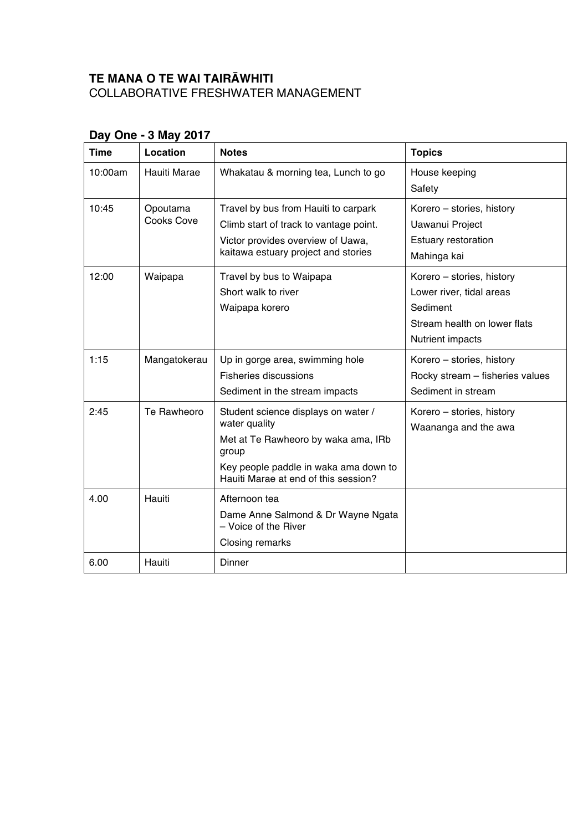## **TE MANA O TE WAI TAIRĀWHITI** COLLABORATIVE FRESHWATER MANAGEMENT

| <b>Time</b> | Location               | <b>Notes</b>                                                                                                                                                                          | <b>Topics</b>                                                                                                                |
|-------------|------------------------|---------------------------------------------------------------------------------------------------------------------------------------------------------------------------------------|------------------------------------------------------------------------------------------------------------------------------|
| 10:00am     | Hauiti Marae           | Whakatau & morning tea, Lunch to go                                                                                                                                                   | House keeping<br>Safety                                                                                                      |
| 10:45       | Opoutama<br>Cooks Cove | Travel by bus from Hauiti to carpark<br>Climb start of track to vantage point.<br>Victor provides overview of Uawa,<br>kaitawa estuary project and stories                            | Korero - stories, history<br>Uawanui Project<br><b>Estuary restoration</b><br>Mahinga kai                                    |
| 12:00       | Waipapa                | Travel by bus to Waipapa<br>Short walk to river<br>Waipapa korero                                                                                                                     | Korero - stories, history<br>Lower river, tidal areas<br>Sediment<br>Stream health on lower flats<br><b>Nutrient impacts</b> |
| 1:15        | Mangatokerau           | Up in gorge area, swimming hole<br><b>Fisheries discussions</b><br>Sediment in the stream impacts                                                                                     | Korero - stories, history<br>Rocky stream - fisheries values<br>Sediment in stream                                           |
| 2:45        | Te Rawheoro            | Student science displays on water /<br>water quality<br>Met at Te Rawheoro by waka ama, IRb<br>group<br>Key people paddle in waka ama down to<br>Hauiti Marae at end of this session? | Korero - stories, history<br>Waananga and the awa                                                                            |
| 4.00        | Hauiti                 | Afternoon tea<br>Dame Anne Salmond & Dr Wayne Ngata<br>- Voice of the River<br>Closing remarks                                                                                        |                                                                                                                              |
| 6.00        | Hauiti                 | Dinner                                                                                                                                                                                |                                                                                                                              |

## **Day One - 3 May 2017**